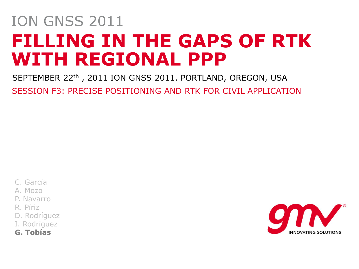# **FILLING IN THE GAPS OF RTK WITH REGIONAL PPP**  ION GNSS 2011

SEPTEMBER 22th, 2011 ION GNSS 2011. PORTLAND, OREGON, USA SESSION F3: PRECISE POSITIONING AND RTK FOR CIVIL APPLICATION

- C. García
- A. Mozo
- P. Navarro
- R. Píriz
- D. Rodríguez
- I. Rodríguez
- **G. Tobías**

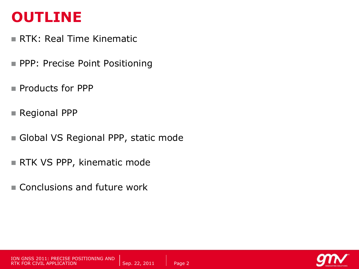#### **OUTLINE**

- RTK: Real Time Kinematic
- **PPP: Precise Point Positioning**
- **Products for PPP**
- Regional PPP
- Global VS Regional PPP, static mode
- RTK VS PPP, kinematic mode
- Conclusions and future work

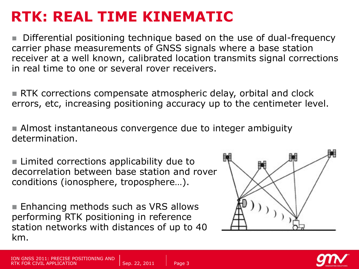#### **RTK: REAL TIME KINEMATIC**

 Differential positioning technique based on the use of dual-frequency carrier phase measurements of GNSS signals where a base station receiver at a well known, calibrated location transmits signal corrections in real time to one or several rover receivers.

**RTK** corrections compensate atmospheric delay, orbital and clock errors, etc, increasing positioning accuracy up to the centimeter level.

 Almost instantaneous convergence due to integer ambiguity determination.

■ Limited corrections applicability due to decorrelation between base station and rover conditions (ionosphere, troposphere…).

■ Enhancing methods such as VRS allows performing RTK positioning in reference station networks with distances of up to 40 km.



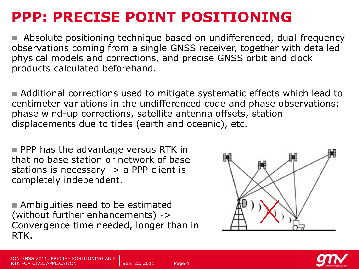#### **PPP: PRECISE POINT POSITIONING**

 Absolute positioning technique based on undifferenced, dual-frequency observations coming from a single GNSS receiver, together with detailed physical models and corrections, and precise GNSS orbit and clock products calculated beforehand.

 Additional corrections used to mitigate systematic effects which lead to centimeter variations in the undifferenced code and phase observations; phase wind-up corrections, satellite antenna offsets, station displacements due to tides (earth and oceanic), etc.

**PPP** has the advantage versus RTK in that no base station or network of base stations is necessary -> a PPP client is completely independent.

**Ambiguities need to be estimated** (without further enhancements) -> Convergence time needed, longer than in RTK.



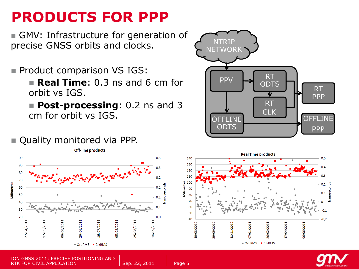#### **PRODUCTS FOR PPP**

GMV: Infrastructure for generation of precise GNSS orbits and clocks.

- **Product comparison VS IGS:** 
	- **Real Time:** 0.3 ns and 6 cm for orbit vs IGS.
	- **Post-processing**: 0.2 ns and 3 cm for orbit vs IGS.

#### Quality monitored via PPP.





GNSS 2011: PRECISE POSITIONING AND RTK FOR CIVIL APPLICATION SEPARATION SEP. 22, 2011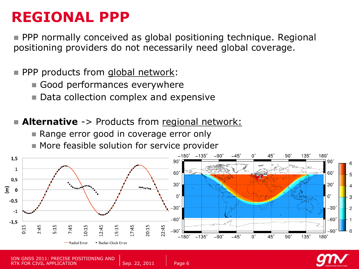#### **REGIONAL PPP**

 PPP normally conceived as global positioning technique. Regional positioning providers do not necessarily need global coverage.

PPP products from global network:

- Good performances everywhere
- Data collection complex and expensive

**Alternative** -> Products from regional network:

- Range error good in coverage error only
- **More feasible solution for service provider**





**POSITIONING AND** RTK FOR CIVIL APPLICATION SEPARATION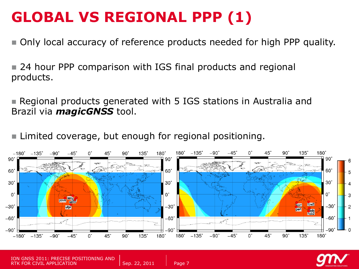# **GLOBAL VS REGIONAL PPP (1)**

Only local accuracy of reference products needed for high PPP quality.

■ 24 hour PPP comparison with IGS final products and regional products.

 Regional products generated with 5 IGS stations in Australia and Brazil via *magicGNSS* tool.

**Limited coverage, but enough for regional positioning.** 



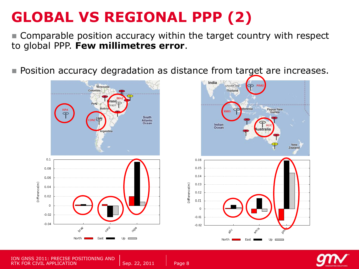# **GLOBAL VS REGIONAL PPP (2)**

 Comparable position accuracy within the target country with respect to global PPP. **Few millimetres error**.

**Position accuracy degradation as distance from target are increases.** 







ION GNSS 2011: PRECISE POSITIONING AND RTK FOR CIVIL APPLICATION SEPARATION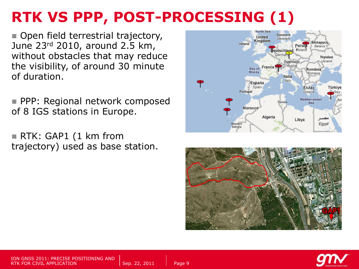# **RTK VS PPP, POST-PROCESSING (1)**

Open field terrestrial trajectory, June 23rd 2010, around 2.5 km, without obstacles that may reduce the visibility, of around 30 minute of duration.

**PPP: Regional network composed** of 8 IGS stations in Europe.

■ RTK: GAP1 (1 km from trajectory) used as base station.



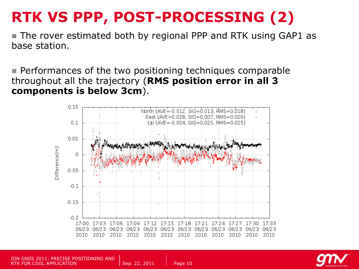# **RTK VS PPP, POST-PROCESSING (2)**

**The rover estimated both by regional PPP and RTK using GAP1 as** base station.

**Performances of the two positioning techniques comparable** throughout all the trajectory (**RMS position error in all 3 components is below 3cm**).





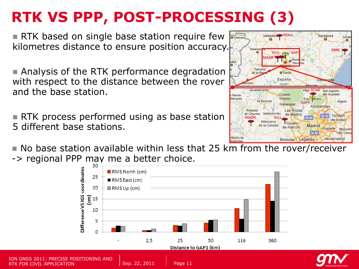# **RTK VS PPP, POST-PROCESSING (3)**

RTK based on single base station require few kilometres distance to ensure position accuracy.

■ Analysis of the RTK performance degradation with respect to the distance between the rover and the base station.

**RTK process performed using as base station** 5 different base stations.

 $\blacksquare$  No base station available within less that 25 km from the rover/receiver -> regional PPP may me a better choice.



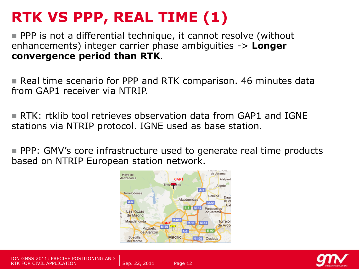# **RTK VS PPP, REAL TIME (1)**

■ PPP is not a differential technique, it cannot resolve (without enhancements) integer carrier phase ambiguities -> **Longer convergence period than RTK**.

**Real time scenario for PPP and RTK comparison. 46 minutes data** from GAP1 receiver via NTRIP.

 RTK: rtklib tool retrieves observation data from GAP1 and IGNE stations via NTRIP protocol. IGNE used as base station.

**PPP: GMV's core infrastructure used to generate real time products** based on NTRIP European station network.





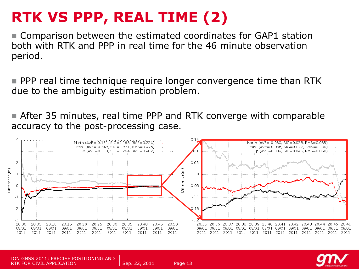# **RTK VS PPP, REAL TIME (2)**

 Comparison between the estimated coordinates for GAP1 station both with RTK and PPP in real time for the 46 minute observation period.

**PPP** real time technique require longer convergence time than RTK due to the ambiguity estimation problem.

 After 35 minutes, real time PPP and RTK converge with comparable accuracy to the post-processing case.



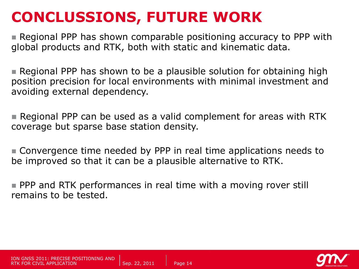#### **CONCLUSSIONS, FUTURE WORK**

 Regional PPP has shown comparable positioning accuracy to PPP with global products and RTK, both with static and kinematic data.

 Regional PPP has shown to be a plausible solution for obtaining high position precision for local environments with minimal investment and avoiding external dependency.

 Regional PPP can be used as a valid complement for areas with RTK coverage but sparse base station density.

 Convergence time needed by PPP in real time applications needs to be improved so that it can be a plausible alternative to RTK.

**PPP and RTK performances in real time with a moving rover still** remains to be tested.